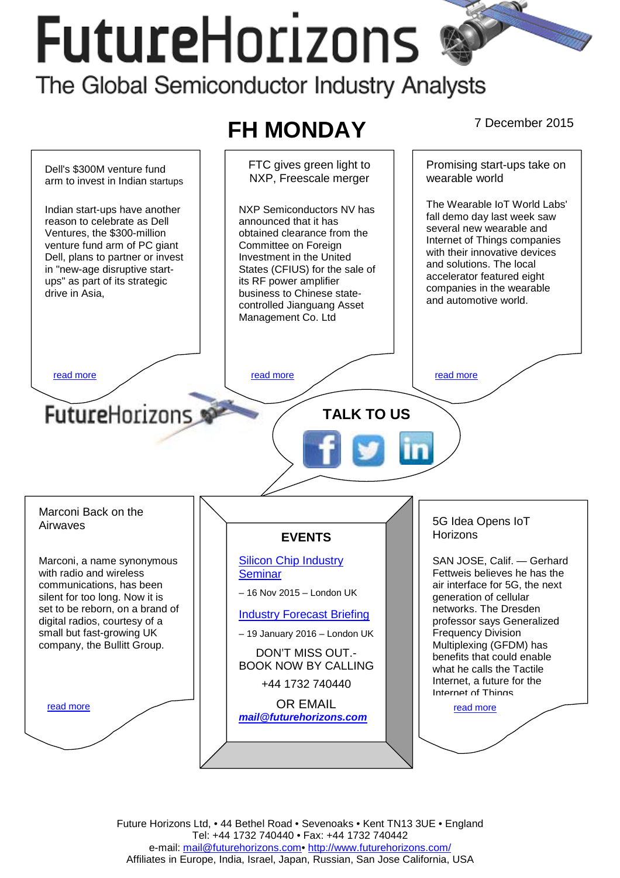# **FutureHorizons** The Global Semiconductor Industry Analysts

#### **FH MONDAY** 7 December 2015 FTC gives green light to Promising start-ups take on Dell's \$300M venture fund NXP, Freescale merger wearable world arm to invest in Indian startups The Wearable IoT World Labs' Indian start-ups have another NXP Semiconductors NV has fall demo day last week saw reason to celebrate as Dell announced that it has several new wearable and Ventures, the \$300-million obtained clearance from the Internet of Things companies venture fund arm of PC giant Committee on Foreign with their innovative devices Dell, plans to partner or invest Investment in the United and solutions. The local in "new-age disruptive start-States (CFIUS) for the sale of accelerator featured eight ups" as part of its strategic its RF power amplifier companies in the wearable drive in Asia, business to Chinese stateand automotive world. controlled Jianguang Asset Management Co. Ltd [read more](#page-1-0) that the second more read more that the read more in the read more in the read more **FutureHorizons TALK TO US**  Marconi Back on the 5G Idea Opens IoT Airwaves **Horizons EVENTS**  [Silicon Chip Industry](http://www.futurehorizons.com/page/12/silicon-chip-training)  SAN JOSE, Calif. — Gerhard Marconi, a name synonymous with radio and wireless **Seminar** Fettweis believes he has the communications, has been air interface for 5G, the next – 16 Nov 2015 – London UK silent for too long. Now it is generation of cellular set to be reborn, on a brand of networks. The Dresden [Industry Forecast Briefing](http://www.futurehorizons.com/page/13/Semiconductor-Market-Forecast-Seminar) digital radios, courtesy of a professor says Generalized small but fast-growing UK Frequency Division – 19 January 2016 – London UK company, the Bullitt Group. Multiplexing (GFDM) has DON'T MISS OUT. benefits that could enable BOOK NOW BY CALLING what he calls the Tactile Internet, a future for the +44 1732 740440 Internet of Things OR EMAIL read more read more *[mail@futurehorizons.com](mailto:mail@futurehorizons.com)*

Future Horizons Ltd, • 44 Bethel Road • Sevenoaks • Kent TN13 3UE • England Tel: +44 1732 740440 • Fax: +44 1732 740442 e-mail: mail@futurehorizons.com• http://www.futurehorizons.com/ Affiliates in Europe, India, Israel, Japan, Russian, San Jose California, USA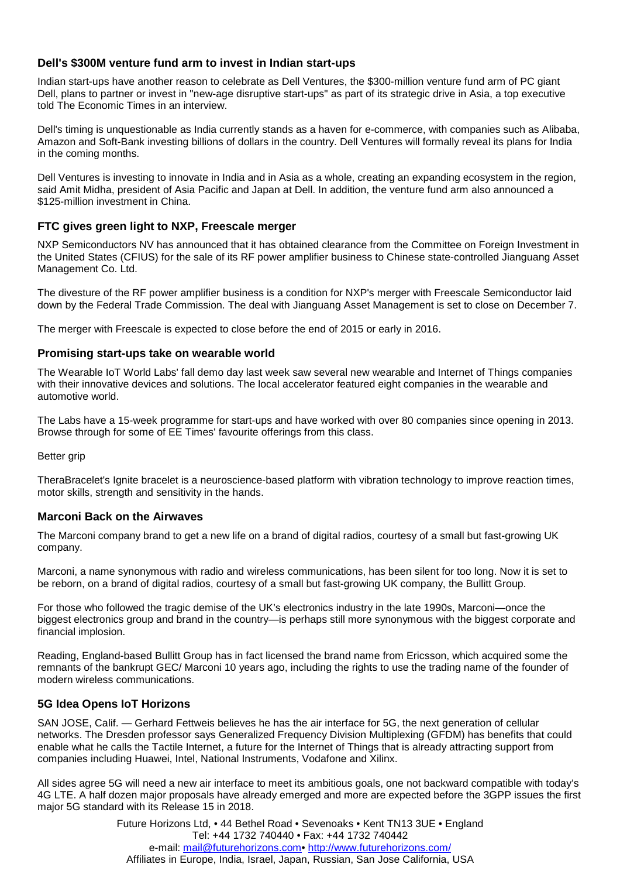## <span id="page-1-0"></span>**Dell's \$300M venture fund arm to invest in Indian start-ups**

Indian start-ups have another reason to celebrate as Dell Ventures, the \$300-million venture fund arm of PC giant Dell, plans to partner or invest in "new-age disruptive start-ups" as part of its strategic drive in Asia, a top executive told The Economic Times in an interview.

Dell's timing is unquestionable as India currently stands as a haven for e-commerce, with companies such as Alibaba, Amazon and Soft-Bank investing billions of dollars in the country. Dell Ventures will formally reveal its plans for India in the coming months.

Dell Ventures is investing to innovate in India and in Asia as a whole, creating an expanding ecosystem in the region, said Amit Midha, president of Asia Pacific and Japan at Dell. In addition, the venture fund arm also announced a \$125-million investment in China.

## **FTC gives green light to NXP, Freescale merger**

NXP Semiconductors NV has announced that it has obtained clearance from the Committee on Foreign Investment in the United States (CFIUS) for the sale of its RF power amplifier business to Chinese state-controlled Jianguang Asset Management Co. Ltd.

The divesture of the RF power amplifier business is a condition for NXP's merger with Freescale Semiconductor laid down by the Federal Trade Commission. The deal with Jianguang Asset Management is set to close on December 7.

The merger with Freescale is expected to close before the end of 2015 or early in 2016.

#### **Promising start-ups take on wearable world**

The Wearable IoT World Labs' fall demo day last week saw several new wearable and Internet of Things companies with their innovative devices and solutions. The local accelerator featured eight companies in the wearable and automotive world.

The Labs have a 15-week programme for start-ups and have worked with over 80 companies since opening in 2013. Browse through for some of EE Times' favourite offerings from this class.

#### Better arip

TheraBracelet's Ignite bracelet is a neuroscience-based platform with vibration technology to improve reaction times, motor skills, strength and sensitivity in the hands.

#### **Marconi Back on the Airwaves**

The Marconi company brand to get a new life on a brand of digital radios, courtesy of a small but fast-growing UK company.

Marconi, a name synonymous with radio and wireless communications, has been silent for too long. Now it is set to be reborn, on a brand of digital radios, courtesy of a small but fast-growing UK company, the Bullitt Group.

For those who followed the tragic demise of the UK's electronics industry in the late 1990s, Marconi—once the biggest electronics group and brand in the country—is perhaps still more synonymous with the biggest corporate and financial implosion.

Reading, England-based Bullitt Group has in fact licensed the brand name from Ericsson, which acquired some the remnants of the bankrupt GEC/ Marconi 10 years ago, including the rights to use the trading name of the founder of modern wireless communications.

## **5G Idea Opens IoT Horizons**

SAN JOSE, Calif. — Gerhard Fettweis believes he has the air interface for 5G, the next generation of cellular networks. The Dresden professor says Generalized Frequency Division Multiplexing (GFDM) has benefits that could enable what he calls the Tactile Internet, a future for the Internet of Things that is already attracting support from companies including Huawei, Intel, National Instruments, Vodafone and Xilinx.

All sides agree 5G will need a new air interface to meet its ambitious goals, one not backward compatible with today's 4G LTE. A half dozen major proposals have already emerged and more are expected before the 3GPP issues the first major 5G standard with its Release 15 in 2018.

> Future Horizons Ltd, • 44 Bethel Road • Sevenoaks • Kent TN13 3UE • England Tel: +44 1732 740440 • Fax: +44 1732 740442 e-mail: mail@futurehorizons.com• http://www.futurehorizons.com/ Affiliates in Europe, India, Israel, Japan, Russian, San Jose California, USA